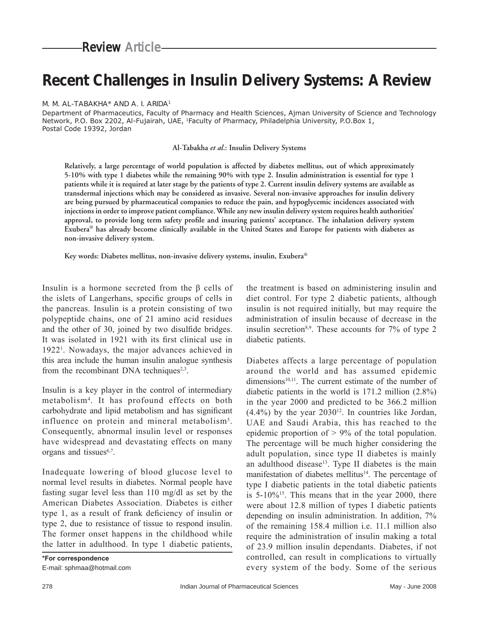# **Recent Challenges in Insulin Delivery Systems: A Review**

#### M. M. AL-TABAKHA\* AND A. I. ARIDA1

Department of Pharmaceutics, Faculty of Pharmacy and Health Sciences, Ajman University of Science and Technology Network, P.O. Box 2202, Al-Fujairah, UAE, 1Faculty of Pharmacy, Philadelphia University, P.O.Box 1, Postal Code 19392, Jordan

#### **Al-Tabakha** *et al***.: Insulin Delivery Systems**

**Relatively, a large percentage of world population is affected by diabetes mellitus, out of which approximately 5-10% with type 1 diabetes while the remaining 90% with type 2. Insulin administration is essential for type 1 patients while it is required at later stage by the patients of type 2. Current insulin delivery systems are available as transdermal injections which may be considered as invasive. Several non-invasive approaches for insulin delivery are being pursued by pharmaceutical companies to reduce the pain, and hypoglycemic incidences associated with injections in order to improve patient compliance. While any new insulin delivery system requires health authorities'**  approval, to provide long term safety profile and insuring patients' acceptance. The inhalation delivery system **Exubera® has already become clinically available in the United States and Europe for patients with diabetes as non-invasive delivery system.**

**Key words: Diabetes mellitus, non-invasive delivery systems, insulin, Exubera®**

Insulin is a hormone secreted from the β cells of the islets of Langerhans, specific groups of cells in the pancreas. Insulin is a protein consisting of two polypeptide chains, one of 21 amino acid residues and the other of 30, joined by two disulfide bridges. It was isolated in 1921 with its first clinical use in 19221 . Nowadays, the major advances achieved in this area include the human insulin analogue synthesis from the recombinant DNA techniques<sup>2,3</sup>.

Insulin is a key player in the control of intermediary metabolism4 . It has profound effects on both carbohydrate and lipid metabolism and has significant influence on protein and mineral metabolism<sup>5</sup>. Consequently, abnormal insulin level or responses have widespread and devastating effects on many organs and tissues<sup>6,7</sup>.

Inadequate lowering of blood glucose level to normal level results in diabetes. Normal people have fasting sugar level less than 110 mg/dl as set by the American Diabetes Association. Diabetes is either type 1, as a result of frank deficiency of insulin or type 2, due to resistance of tissue to respond insulin. The former onset happens in the childhood while the latter in adulthood. In type 1 diabetic patients,

the treatment is based on administering insulin and diet control. For type 2 diabetic patients, although insulin is not required initially, but may require the administration of insulin because of decrease in the insulin secretion<sup>8,9</sup>. These accounts for  $7\%$  of type 2 diabetic patients.

Diabetes affects a large percentage of population around the world and has assumed epidemic dimensions $10,11$ . The current estimate of the number of diabetic patients in the world is 171.2 million (2.8%) in the year 2000 and predicted to be 366.2 million  $(4.4\%)$  by the year  $2030^{12}$ . In countries like Jordan, UAE and Saudi Arabia, this has reached to the epidemic proportion of  $> 9\%$  of the total population. The percentage will be much higher considering the adult population, since type II diabetes is mainly an adulthood disease<sup>13</sup>. Type II diabetes is the main manifestation of diabetes mellitus<sup>14</sup>. The percentage of type I diabetic patients in the total diabetic patients is  $5-10\%$ <sup>15</sup>. This means that in the year 2000, there were about 12.8 million of types I diabetic patients depending on insulin administration. In addition, 7% of the remaining 158.4 million i.e. 11.1 million also require the administration of insulin making a total of 23.9 million insulin dependants. Diabetes, if not controlled, can result in complications to virtually every system of the body. Some of the serious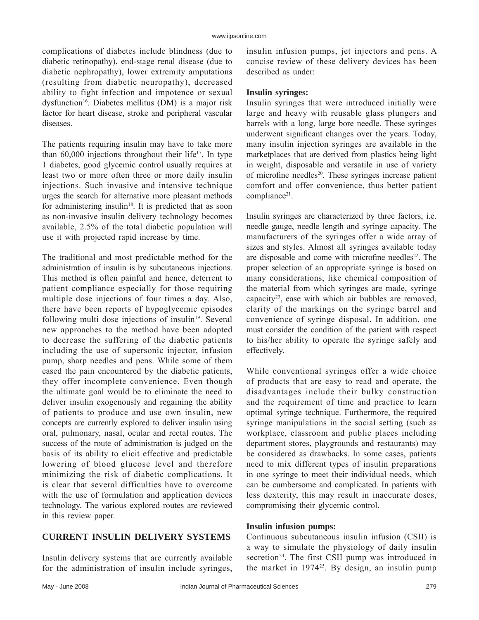complications of diabetes include blindness (due to diabetic retinopathy), end-stage renal disease (due to diabetic nephropathy), lower extremity amputations (resulting from diabetic neuropathy), decreased ability to fight infection and impotence or sexual dysfunction<sup>16</sup>. Diabetes mellitus (DM) is a major risk factor for heart disease, stroke and peripheral vascular diseases.

The patients requiring insulin may have to take more than  $60,000$  injections throughout their life<sup>17</sup>. In type 1 diabetes, good glycemic control usually requires at least two or more often three or more daily insulin injections. Such invasive and intensive technique urges the search for alternative more pleasant methods for administering insulin<sup>18</sup>. It is predicted that as soon as non-invasive insulin delivery technology becomes available, 2.5% of the total diabetic population will use it with projected rapid increase by time.

The traditional and most predictable method for the administration of insulin is by subcutaneous injections. This method is often painful and hence, deterrent to patient compliance especially for those requiring multiple dose injections of four times a day. Also, there have been reports of hypoglycemic episodes following multi dose injections of insulin $19$ . Several new approaches to the method have been adopted to decrease the suffering of the diabetic patients including the use of supersonic injector, infusion pump, sharp needles and pens. While some of them eased the pain encountered by the diabetic patients, they offer incomplete convenience. Even though the ultimate goal would be to eliminate the need to deliver insulin exogenously and regaining the ability of patients to produce and use own insulin, new concepts are currently explored to deliver insulin using oral, pulmonary, nasal, ocular and rectal routes. The success of the route of administration is judged on the basis of its ability to elicit effective and predictable lowering of blood glucose level and therefore minimizing the risk of diabetic complications. It is clear that several difficulties have to overcome with the use of formulation and application devices technology. The various explored routes are reviewed in this review paper.

## **CURRENT INSULIN DELIVERY SYSTEMS**

Insulin delivery systems that are currently available for the administration of insulin include syringes, insulin infusion pumps, jet injectors and pens. A concise review of these delivery devices has been described as under:

#### **Insulin syringes:**

Insulin syringes that were introduced initially were large and heavy with reusable glass plungers and barrels with a long, large bore needle. These syringes underwent significant changes over the years. Today, many insulin injection syringes are available in the marketplaces that are derived from plastics being light in weight, disposable and versatile in use of variety of microfine needles<sup>20</sup>. These syringes increase patient comfort and offer convenience, thus better patient compliance<sup>21</sup>.

Insulin syringes are characterized by three factors, i.e. needle gauge, needle length and syringe capacity. The manufacturers of the syringes offer a wide array of sizes and styles. Almost all syringes available today are disposable and come with microfine needles<sup>22</sup>. The proper selection of an appropriate syringe is based on many considerations, like chemical composition of the material from which syringes are made, syringe capacity23, ease with which air bubbles are removed, clarity of the markings on the syringe barrel and convenience of syringe disposal. In addition, one must consider the condition of the patient with respect to his/her ability to operate the syringe safely and effectively.

While conventional syringes offer a wide choice of products that are easy to read and operate, the disadvantages include their bulky construction and the requirement of time and practice to learn optimal syringe technique. Furthermore, the required syringe manipulations in the social setting (such as workplace, classroom and public places including department stores, playgrounds and restaurants) may be considered as drawbacks. In some cases, patients need to mix different types of insulin preparations in one syringe to meet their individual needs, which can be cumbersome and complicated. In patients with less dexterity, this may result in inaccurate doses, compromising their glycemic control.

## **Insulin infusion pumps:**

Continuous subcutaneous insulin infusion (CSII) is a way to simulate the physiology of daily insulin secretion<sup>24</sup>. The first CSII pump was introduced in the market in 197425. By design, an insulin pump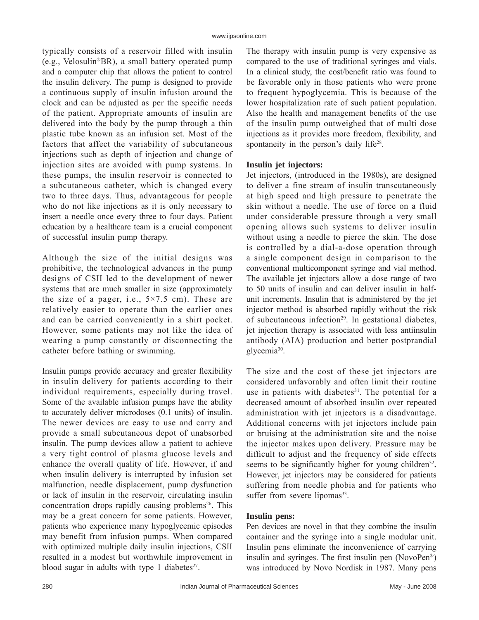typically consists of a reservoir filled with insulin (e.g., Velosulin<sup>®</sup>BR), a small battery operated pump and a computer chip that allows the patient to control the insulin delivery. The pump is designed to provide a continuous supply of insulin infusion around the clock and can be adjusted as per the specific needs of the patient. Appropriate amounts of insulin are delivered into the body by the pump through a thin plastic tube known as an infusion set. Most of the factors that affect the variability of subcutaneous injections such as depth of injection and change of injection sites are avoided with pump systems. In these pumps, the insulin reservoir is connected to a subcutaneous catheter, which is changed every two to three days. Thus, advantageous for people who do not like injections as it is only necessary to insert a needle once every three to four days. Patient education by a healthcare team is a crucial component of successful insulin pump therapy.

Although the size of the initial designs was prohibitive, the technological advances in the pump designs of CSII led to the development of newer systems that are much smaller in size (approximately the size of a pager, i.e.,  $5 \times 7.5$  cm). These are relatively easier to operate than the earlier ones and can be carried conveniently in a shirt pocket. However, some patients may not like the idea of wearing a pump constantly or disconnecting the catheter before bathing or swimming.

Insulin pumps provide accuracy and greater flexibility in insulin delivery for patients according to their individual requirements, especially during travel. Some of the available infusion pumps have the ability to accurately deliver microdoses (0.1 units) of insulin. The newer devices are easy to use and carry and provide a small subcutaneous depot of unabsorbed insulin. The pump devices allow a patient to achieve a very tight control of plasma glucose levels and enhance the overall quality of life. However, if and when insulin delivery is interrupted by infusion set malfunction, needle displacement, pump dysfunction or lack of insulin in the reservoir, circulating insulin concentration drops rapidly causing problems<sup>26</sup>. This may be a great concern for some patients. However, patients who experience many hypoglycemic episodes may benefit from infusion pumps. When compared with optimized multiple daily insulin injections, CSII resulted in a modest but worthwhile improvement in blood sugar in adults with type 1 diabetes $27$ .

The therapy with insulin pump is very expensive as compared to the use of traditional syringes and vials. In a clinical study, the cost/benefit ratio was found to be favorable only in those patients who were prone to frequent hypoglycemia. This is because of the lower hospitalization rate of such patient population. Also the health and management benefits of the use of the insulin pump outweighed that of multi dose injections as it provides more freedom, flexibility, and spontaneity in the person's daily life<sup>28</sup>.

## **Insulin jet injectors:**

Jet injectors, (introduced in the 1980s), are designed to deliver a fine stream of insulin transcutaneously at high speed and high pressure to penetrate the skin without a needle. The use of force on a fluid under considerable pressure through a very small opening allows such systems to deliver insulin without using a needle to pierce the skin. The dose is controlled by a dial-a-dose operation through a single component design in comparison to the conventional multicomponent syringe and vial method. The available jet injectors allow a dose range of two to 50 units of insulin and can deliver insulin in halfunit increments. Insulin that is administered by the jet injector method is absorbed rapidly without the risk of subcutaneous infection<sup>29</sup>. In gestational diabetes, jet injection therapy is associated with less antiinsulin antibody (AIA) production and better postprandial glycemia<sup>30</sup>.

The size and the cost of these jet injectors are considered unfavorably and often limit their routine use in patients with diabetes $31$ . The potential for a decreased amount of absorbed insulin over repeated administration with jet injectors is a disadvantage. Additional concerns with jet injectors include pain or bruising at the administration site and the noise the injector makes upon delivery. Pressure may be difficult to adjust and the frequency of side effects seems to be significantly higher for young children<sup>32</sup>. However, jet injectors may be considered for patients suffering from needle phobia and for patients who suffer from severe lipomas<sup>33</sup>.

#### **Insulin pens:**

Pen devices are novel in that they combine the insulin container and the syringe into a single modular unit. Insulin pens eliminate the inconvenience of carrying insulin and syringes. The first insulin pen  $(NovoPen<sup>®</sup>)$ was introduced by Novo Nordisk in 1987. Many pens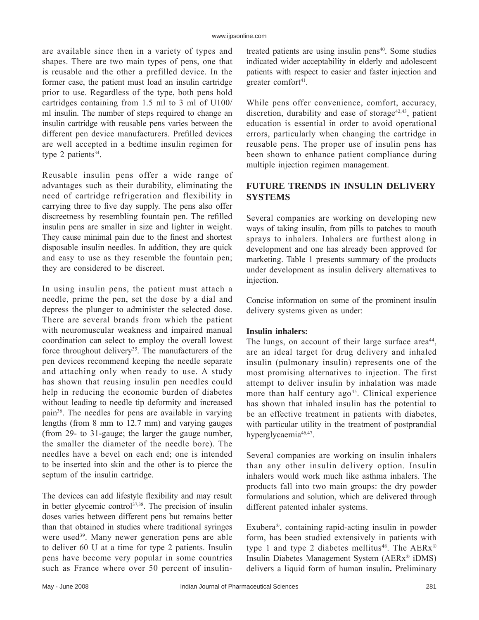are available since then in a variety of types and shapes. There are two main types of pens, one that is reusable and the other a prefilled device. In the former case, the patient must load an insulin cartridge prior to use. Regardless of the type, both pens hold cartridges containing from 1.5 ml to 3 ml of U100/ ml insulin. The number of steps required to change an insulin cartridge with reusable pens varies between the different pen device manufacturers. Prefilled devices are well accepted in a bedtime insulin regimen for type 2 patients $34$ .

Reusable insulin pens offer a wide range of advantages such as their durability, eliminating the need of cartridge refrigeration and flexibility in carrying three to five day supply. The pens also offer discreetness by resembling fountain pen. The refilled insulin pens are smaller in size and lighter in weight. They cause minimal pain due to the finest and shortest disposable insulin needles. In addition, they are quick and easy to use as they resemble the fountain pen; they are considered to be discreet.

In using insulin pens, the patient must attach a needle, prime the pen, set the dose by a dial and depress the plunger to administer the selected dose. There are several brands from which the patient with neuromuscular weakness and impaired manual coordination can select to employ the overall lowest force throughout delivery<sup>35</sup>. The manufacturers of the pen devices recommend keeping the needle separate and attaching only when ready to use. A study has shown that reusing insulin pen needles could help in reducing the economic burden of diabetes without leading to needle tip deformity and increased pain36. The needles for pens are available in varying lengths (from 8 mm to 12.7 mm) and varying gauges (from 29- to 31-gauge; the larger the gauge number, the smaller the diameter of the needle bore). The needles have a bevel on each end; one is intended to be inserted into skin and the other is to pierce the septum of the insulin cartridge.

The devices can add lifestyle flexibility and may result in better glycemic control<sup>37,38</sup>. The precision of insulin doses varies between different pens but remains better than that obtained in studies where traditional syringes were used<sup>39</sup>. Many newer generation pens are able to deliver 60 U at a time for type 2 patients. Insulin pens have become very popular in some countries such as France where over 50 percent of insulintreated patients are using insulin pens $40$ . Some studies indicated wider acceptability in elderly and adolescent patients with respect to easier and faster injection and greater comfort<sup>41</sup>.

While pens offer convenience, comfort, accuracy, discretion, durability and ease of storage<sup>42,43</sup>, patient education is essential in order to avoid operational errors, particularly when changing the cartridge in reusable pens. The proper use of insulin pens has been shown to enhance patient compliance during multiple injection regimen management.

# **FUTURE TRENDS IN INSULIN DELIVERY SYSTEMS**

Several companies are working on developing new ways of taking insulin, from pills to patches to mouth sprays to inhalers. Inhalers are furthest along in development and one has already been approved for marketing. Table 1 presents summary of the products under development as insulin delivery alternatives to injection.

Concise information on some of the prominent insulin delivery systems given as under:

## **Insulin inhalers:**

The lungs, on account of their large surface area<sup>44</sup>, are an ideal target for drug delivery and inhaled insulin (pulmonary insulin) represents one of the most promising alternatives to injection. The first attempt to deliver insulin by inhalation was made more than half century  $ago^{45}$ . Clinical experience has shown that inhaled insulin has the potential to be an effective treatment in patients with diabetes, with particular utility in the treatment of postprandial hyperglycaemia<sup>46,47</sup>.

Several companies are working on insulin inhalers than any other insulin delivery option. Insulin inhalers would work much like asthma inhalers. The products fall into two main groups: the dry powder formulations and solution, which are delivered through different patented inhaler systems.

Exubera<sup>®</sup>, containing rapid-acting insulin in powder form, has been studied extensively in patients with type 1 and type 2 diabetes mellitus<sup>48</sup>. The  $AERx^{\otimes}$ Insulin Diabetes Management System  $(AERx^{\otimes})$  iDMS) delivers a liquid form of human insulin**.** Preliminary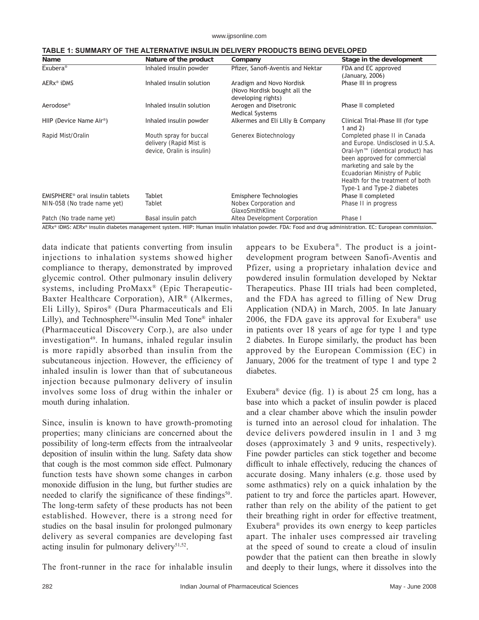www.ijpsonline.com

| Name                                        | Nature of the product                                                           | Company                                                                        | Stage in the development                                                                                                                                                                                                                                                           |
|---------------------------------------------|---------------------------------------------------------------------------------|--------------------------------------------------------------------------------|------------------------------------------------------------------------------------------------------------------------------------------------------------------------------------------------------------------------------------------------------------------------------------|
| Exubera <sup>®</sup>                        | Inhaled insulin powder                                                          | Pfizer, Sanofi-Aventis and Nektar                                              | FDA and EC approved<br>(January, 2006)                                                                                                                                                                                                                                             |
| AERx <sup>®</sup> iDMS                      | Inhaled insulin solution                                                        | Aradigm and Novo Nordisk<br>(Novo Nordisk bought all the<br>developing rights) | Phase III in progress                                                                                                                                                                                                                                                              |
| Aerodose <sup>®</sup>                       | Inhaled insulin solution                                                        | Aerogen and Disetronic<br><b>Medical Systems</b>                               | Phase II completed                                                                                                                                                                                                                                                                 |
| HIIP (Device Name Air <sup>®</sup> )        | Inhaled insulin powder                                                          | Alkermes and Eli Lilly & Company                                               | Clinical Trial-Phase III (for type<br>1 and $2)$                                                                                                                                                                                                                                   |
| Rapid Mist/Oralin                           | Mouth spray for buccal<br>delivery (Rapid Mist is<br>device, Oralin is insulin) | Generex Biotechnology                                                          | Completed phase II in Canada<br>and Europe. Undisclosed in U.S.A.<br>Oral-lyn <sup>™</sup> (identical product) has<br>been approved for commercial<br>marketing and sale by the<br>Ecuadorian Ministry of Public<br>Health for the treatment of both<br>Type-1 and Type-2 diabetes |
| EMISPHERE <sup>®</sup> oral insulin tablets | Tablet                                                                          | Emisphere Technologies                                                         | Phase II completed                                                                                                                                                                                                                                                                 |
| NIN-058 (No trade name yet)                 | Tablet                                                                          | Nobex Corporation and<br>GlaxoSmithKline                                       | Phase II in progress                                                                                                                                                                                                                                                               |
| Patch (No trade name yet)                   | Basal insulin patch                                                             | Altea Development Corporation                                                  | Phase I                                                                                                                                                                                                                                                                            |

AERx® iDMS: AERx® insulin diabetes management system. HIIP: Human insulin inhalation powder. FDA: Food and drug administration. EC: European commission.

data indicate that patients converting from insulin injections to inhalation systems showed higher compliance to therapy, demonstrated by improved glycemic control. Other pulmonary insulin delivery systems, including  $ProMaxx^{\otimes}$  (Epic Therapeutic-Baxter Healthcare Corporation),  $AIR^{\otimes}$  (Alkermes, Eli Lilly), Spiros® (Dura Pharmaceuticals and Eli Lilly), and Technosphere<sup>TM</sup>-insulin Med Tone<sup>®</sup> inhaler (Pharmaceutical Discovery Corp.), are also under investigation<sup>49</sup>. In humans, inhaled regular insulin is more rapidly absorbed than insulin from the subcutaneous injection. However, the efficiency of inhaled insulin is lower than that of subcutaneous injection because pulmonary delivery of insulin involves some loss of drug within the inhaler or mouth during inhalation.

Since, insulin is known to have growth-promoting properties; many clinicians are concerned about the possibility of long-term effects from the intraalveolar deposition of insulin within the lung. Safety data show that cough is the most common side effect. Pulmonary function tests have shown some changes in carbon monoxide diffusion in the lung, but further studies are needed to clarify the significance of these findings<sup>50</sup>. The long-term safety of these products has not been established. However, there is a strong need for studies on the basal insulin for prolonged pulmonary delivery as several companies are developing fast acting insulin for pulmonary delivery<sup>51,52</sup>.

The front-runner in the race for inhalable insulin

appears to be Exubera<sup>®</sup>. The product is a jointdevelopment program between Sanofi-Aventis and Pfizer, using a proprietary inhalation device and powdered insulin formulation developed by Nektar Therapeutics. Phase III trials had been completed, and the FDA has agreed to filling of New Drug Application (NDA) in March, 2005. In late January 2006, the FDA gave its approval for Exubera<sup>®</sup> use in patients over 18 years of age for type 1 and type 2 diabetes. In Europe similarly, the product has been approved by the European Commission (EC) in January, 2006 for the treatment of type 1 and type 2 diabetes.

Exubera<sup>®</sup> device (fig. 1) is about 25 cm long, has a base into which a packet of insulin powder is placed and a clear chamber above which the insulin powder is turned into an aerosol cloud for inhalation. The device delivers powdered insulin in 1 and 3 mg doses (approximately 3 and 9 units, respectively). Fine powder particles can stick together and become difficult to inhale effectively, reducing the chances of accurate dosing. Many inhalers (e.g. those used by some asthmatics) rely on a quick inhalation by the patient to try and force the particles apart. However, rather than rely on the ability of the patient to get their breathing right in order for effective treatment, Exubera<sup>®</sup> provides its own energy to keep particles apart. The inhaler uses compressed air traveling at the speed of sound to create a cloud of insulin powder that the patient can then breathe in slowly and deeply to their lungs, where it dissolves into the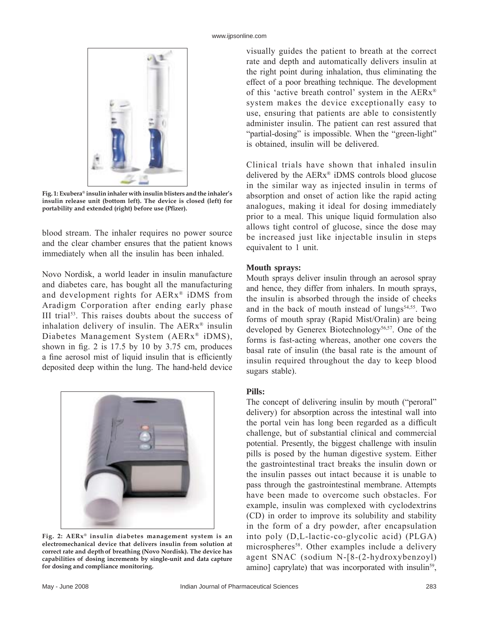

Fig. 1: Exubera<sup>®</sup> insulin inhaler with insulin blisters and the inhaler's **insulin release unit (bottom left). The device is closed (left) for portability and extended (right) before use (Pfi zer).**

blood stream. The inhaler requires no power source and the clear chamber ensures that the patient knows immediately when all the insulin has been inhaled.

Novo Nordisk, a world leader in insulin manufacture and diabetes care, has bought all the manufacturing and development rights for  $AERx^*$  iDMS from Aradigm Corporation after ending early phase III trial $53$ . This raises doubts about the success of inhalation delivery of insulin. The  $AERx^{\otimes}$  insulin Diabetes Management System ( $AERx^{\otimes}$  iDMS), shown in fig. 2 is  $17.5$  by 10 by  $3.75$  cm, produces a fine aerosol mist of liquid insulin that is efficiently deposited deep within the lung. The hand-held device



Fig. 2: AERx<sup>®</sup> insulin diabetes management system is an **electromechanical device that delivers insulin from solution at**  correct rate and depth of breathing (Novo Nordisk). The device has **capabilities of dosing increments by single-unit and data capture for dosing and compliance monitoring.** 

visually guides the patient to breath at the correct rate and depth and automatically delivers insulin at the right point during inhalation, thus eliminating the effect of a poor breathing technique. The development of this 'active breath control' system in the  $AERx^{\otimes}$ system makes the device exceptionally easy to use, ensuring that patients are able to consistently administer insulin. The patient can rest assured that "partial-dosing" is impossible. When the "green-light" is obtained, insulin will be delivered.

Clinical trials have shown that inhaled insulin delivered by the  $AERx^{\otimes}$  iDMS controls blood glucose in the similar way as injected insulin in terms of absorption and onset of action like the rapid acting analogues, making it ideal for dosing immediately prior to a meal. This unique liquid formulation also allows tight control of glucose, since the dose may be increased just like injectable insulin in steps equivalent to 1 unit.

## **Mouth sprays:**

Mouth sprays deliver insulin through an aerosol spray and hence, they differ from inhalers. In mouth sprays, the insulin is absorbed through the inside of cheeks and in the back of mouth instead of  $\text{lungs}^{54,55}$ . Two forms of mouth spray (Rapid Mist/Oralin) are being developed by Generex Biotechnology<sup>56,57</sup>. One of the forms is fast-acting whereas, another one covers the basal rate of insulin (the basal rate is the amount of insulin required throughout the day to keep blood sugars stable).

## **Pills:**

The concept of delivering insulin by mouth ("peroral" delivery) for absorption across the intestinal wall into the portal vein has long been regarded as a difficult challenge, but of substantial clinical and commercial potential. Presently, the biggest challenge with insulin pills is posed by the human digestive system. Either the gastrointestinal tract breaks the insulin down or the insulin passes out intact because it is unable to pass through the gastrointestinal membrane. Attempts have been made to overcome such obstacles. For example, insulin was complexed with cyclodextrins (CD) in order to improve its solubility and stability in the form of a dry powder, after encapsulation into poly (D,L-lactic-co-glycolic acid) (PLGA) microspheres<sup>58</sup>. Other examples include a delivery agent SNAC (sodium N-[8-(2-hydroxybenzoyl) amino] caprylate) that was incorporated with insulin<sup>59</sup>,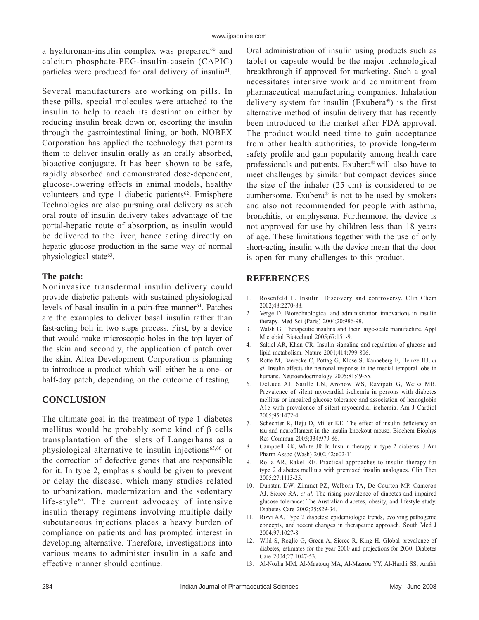a hyaluronan-insulin complex was prepared $60$  and calcium phosphate-PEG-insulin-casein (CAPIC) particles were produced for oral delivery of insulin<sup>61</sup>.

Several manufacturers are working on pills. In these pills, special molecules were attached to the insulin to help to reach its destination either by reducing insulin break down or, escorting the insulin through the gastrointestinal lining, or both. NOBEX Corporation has applied the technology that permits them to deliver insulin orally as an orally absorbed, bioactive conjugate. It has been shown to be safe, rapidly absorbed and demonstrated dose-dependent, glucose-lowering effects in animal models, healthy volunteers and type 1 diabetic patients<sup>62</sup>. Emisphere Technologies are also pursuing oral delivery as such oral route of insulin delivery takes advantage of the portal-hepatic route of absorption, as insulin would be delivered to the liver, hence acting directly on hepatic glucose production in the same way of normal physiological state<sup>63</sup>.

## **The patch:**

Noninvasive transdermal insulin delivery could provide diabetic patients with sustained physiological levels of basal insulin in a pain-free manner<sup>64</sup>. Patches are the examples to deliver basal insulin rather than fast-acting boli in two steps process. First, by a device that would make microscopic holes in the top layer of the skin and secondly, the application of patch over the skin. Altea Development Corporation is planning to introduce a product which will either be a one- or half-day patch, depending on the outcome of testing.

# **CONCLUSION**

The ultimate goal in the treatment of type 1 diabetes mellitus would be probably some kind of β cells transplantation of the islets of Langerhans as a physiological alternative to insulin injections<sup>65,66</sup> or the correction of defective genes that are responsible for it. In type 2, emphasis should be given to prevent or delay the disease, which many studies related to urbanization, modernization and the sedentary life-style $67$ . The current advocacy of intensive insulin therapy regimens involving multiple daily subcutaneous injections places a heavy burden of compliance on patients and has prompted interest in developing alternative. Therefore, investigations into various means to administer insulin in a safe and effective manner should continue.

Oral administration of insulin using products such as tablet or capsule would be the major technological breakthrough if approved for marketing. Such a goal necessitates intensive work and commitment from pharmaceutical manufacturing companies. Inhalation delivery system for insulin (Exubera®) is the first alternative method of insulin delivery that has recently been introduced to the market after FDA approval. The product would need time to gain acceptance from other health authorities, to provide long-term safety profile and gain popularity among health care professionals and patients. Exubera<sup>®</sup> will also have to meet challenges by similar but compact devices since the size of the inhaler (25 cm) is considered to be cumbersome. Exubera<sup>®</sup> is not to be used by smokers and also not recommended for people with asthma, bronchitis, or emphysema. Furthermore, the device is not approved for use by children less than 18 years of age. These limitations together with the use of only short-acting insulin with the device mean that the door is open for many challenges to this product.

# **REFERENCES**

- 1. Rosenfeld L. Insulin: Discovery and controversy. Clin Chem 2002;48:2270-88.
- 2. Verge D. Biotechnological and administration innovations in insulin therapy. Med Sci (Paris) 2004;20:986-98.
- 3. Walsh G. Therapeutic insulins and their large-scale manufacture. Appl Microbiol Biotechnol 2005;67:151-9.
- 4. Saltiel AR, Khan CR. Insulin signaling and regulation of glucose and lipid metabolism. Nature 2001;414:799-806.
- 5. Rotte M, Baerecke C, Pottag G, Klose S, Kanneberg E, Heinze HJ, *et al.* Insulin affects the neuronal response in the medial temporal lobe in humans. Neuroendocrinology 2005;81:49-55.
- 6. DeLuca AJ, Saulle LN, Aronow WS, Ravipati G, Weiss MB. Prevalence of silent myocardial ischemia in persons with diabetes mellitus or impaired glucose tolerance and association of hemoglobin A1c with prevalence of silent myocardial ischemia. Am J Cardiol 2005;95:1472-4.
- 7. Schechter R, Beju D, Miller KE. The effect of insulin deficiency on tau and neurofilament in the insulin knockout mouse. Biochem Biophys Res Commun 2005;334:979-86.
- 8. Campbell RK, White JR Jr. Insulin therapy in type 2 diabetes. J Am Pharm Assoc (Wash) 2002;42:602-11.
- 9. Rolla AR, Rakel RE. Practical approaches to insulin therapy for type 2 diabetes mellitus with premixed insulin analogues. Clin Ther 2005;27:1113-25.
- 10. Dunstan DW, Zimmet PZ, Welborn TA, De Courten MP, Cameron AJ, Sicree RA, *et al.* The rising prevalence of diabetes and impaired glucose tolerance: The Australian diabetes, obesity, and lifestyle study. Diabetes Care 2002;25:829-34.
- 11. Rizvi AA. Type 2 diabetes: epidemiologic trends, evolving pathogenic concepts, and recent changes in therapeutic approach. South Med J 2004;97:1027-8.
- 12. Wild S, Roglic G, Green A, Sicree R, King H. Global prevalence of diabetes, estimates for the year 2000 and projections for 2030. Diabetes Care 2004;27:1047-53.
- 13. Al-Nozha MM, Al-Maatouq MA, Al-Mazrou YY, Al-Harthi SS, Arafah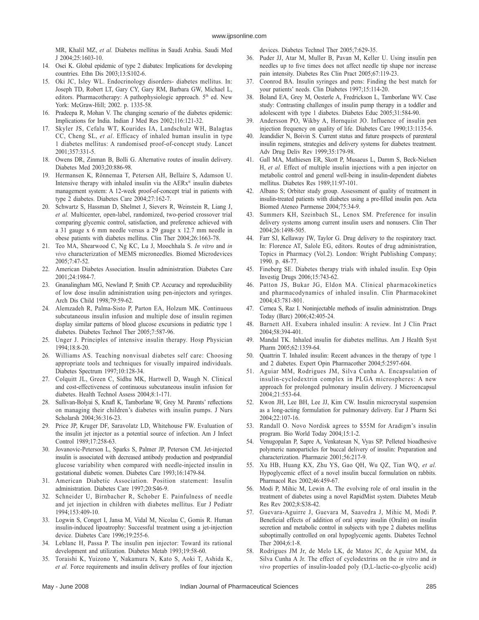MR, Khalil MZ, *et al.* Diabetes mellitus in Saudi Arabia. Saudi Med J 2004;25:1603-10.

- 14. Osei K. Global epidemic of type 2 diabates: Implications for developing countries. Ethn Dis 2003;13:S102-6.
- 15. Oki JC, Isley WL. Endocrinology disorders- diabetes mellitus. In: Joseph TD, Robert LT, Gary CY, Gary RM, Barbara GW, Michael L, editors. Pharmacotherapy: A pathophysiologic approach. 5<sup>th</sup> ed. New York: McGraw-Hill; 2002. p. 1335-58.
- 16. Pradeepa R, Mohan V. The changing scenario of the diabetes epidemic: Implications for India. Indian J Med Res 2002;116:121-32.
- 17. Skyler JS, Cefalu WT, Kourides IA, Landschulz WH, Balagtas CC, Cheng SL, *et al*. Efficacy of inhaled human insulin in type 1 diabetes mellitus: A randomised proof-of-concept study. Lancet 2001;357:331-5.
- 18. Owens DR, Zinman B, Bolli G. Alternative routes of insulin delivery. Diabetes Med 2003;20:886-98.
- 19. Hermansen K, Rönnemaa T, Petersen AH, Bellaire S, Adamson U. Intensive therapy with inhaled insulin via the  $AERx^*$  insulin diabetes management system: A 12-week proof-of-concept trial in patients with type 2 diabetes. Diabetes Care 2004;27:162-7.
- 20. Schwartz S, Hassman D, Shelmet J, Sievers R, Weinstein R, Liang J, *et al.* Multicenter, open-label, randomized, two-period crossover trial comparing glycemic control, satisfaction, and preference achieved with a 31 gauge x 6 mm needle versus a 29 gauge x 12.7 mm needle in obese patients with diabetes mellitus. Clin Ther 2004;26:1663-78.
- 21. Teo MA, Shearwood C, Ng KC, Lu J, Moochhala S. *In vitro* and *in vivo* characterization of MEMS microneedles. Biomed Microdevices 2005;7:47-52.
- 22. American Diabetes Association. Insulin administration. Diabetes Care 2001;24:1984-7.
- 23. Gnanalingham MG, Newland P, Smith CP. Accuracy and reproducibility of low dose insulin administration using pen-injectors and syringes. Arch Dis Child 1998;79:59-62.
- 24. Alemzadeh R, Palma-Sisto P, Parton EA, Holzum MK. Continuous subcutaneous insulin infusion and multiple dose of insulin regimen display similar patterns of blood glucose excursions in pediatric type 1 diabetes. Diabetes Technol Ther 2005;7:587-96.
- 25. Unger J. Principles of intensive insulin therapy. Hosp Physician 1994;18:8-20.
- 26. Williams AS. Teaching nonvisual diabetes self care: Choosing appropriate tools and techniques for visually impaired individuals. Diabetes Spectrum 1997;10:128-34.
- 27. Colquitt JL, Green C, Sidhu MK, Hartwell D, Waugh N. Clinical and cost-effectiveness of continuous subcutaneous insulin infusion for diabetes. Health Technol Assess 2004;8:1-171.
- 28. Sullivan-Bolyai S, Knafl K, Tamborlane W, Grey M. Parents' reflections on managing their children's diabetes with insulin pumps. J Nurs Scholarsh 2004;36:316-23.
- 29. Price JP, Kruger DF, Saravolatz LD, Whitehouse FW. Evaluation of the insulin jet injector as a potential source of infection. Am J Infect Control 1989;17:258-63.
- 30. Jovanovic-Peterson L, Sparks S, Palmer JP, Peterson CM. Jet-injected insulin is associated with decreased antibody production and postprandial glucose variability when compared with needle-injected insulin in gestational diabetic women. Diabetes Care 1993;16:1479-84.
- 31. American Diabetic Association. Position statement: Insulin administration. Diabetes Care 1997;20:S46-9.
- 32. Schneider U, Birnbacher R, Schober E. Painfulness of needle and jet injection in children with diabetes mellitus. Eur J Pediatr 1994;153:409-10.
- 33. Logwin S, Conget I, Jansa M, Vidal M, Nicolau C, Gomis R. Human insulin-induced lipoatrophy: Successful treatment using a jet-injection device. Diabetes Care 1996;19:255-6.
- 34. Leblanc H, Passa P. The insulin pen injector: Toward its rational development and utilization. Diabetes Metab 1993;19:58-60.
- 35. Toraishi K, Yuizono Y, Nakamura N, Kato S, Aoki T, Ashida K, *et al.* Force requirements and insulin delivery profiles of four injection

devices. Diabetes Technol Ther 2005;7:629-35.

- 36. Puder JJ, Atar M, Muller B, Pavan M, Keller U. Using insulin pen needles up to five times does not affect needle tip shape nor increase pain intensity. Diabetes Res Clin Pract 2005;67:119-23.
- 37. Coonrod BA. Insulin syringes and pens: Finding the best match for your patients' needs. Clin Diabetes 1997;15:114-20.
- 38. Boland EA, Grey M, Oesterle A, Fredrickson L, Tamborlane WV. Case study: Contrasting challenges of insulin pump therapy in a toddler and adolescent with type 1 diabetes. Diabetes Educ 2005;31:584-90.
- 39. Andersson PO, Wikby A, Hornquist JO. Influence of insulin pen injection frequency on quality of life. Diabetes Care 1990;13:1135-6.
- 40. Jeandidier N, Boivin S. Current status and future prospects of parenteral insulin regimens, strategies and delivery systems for diabetes treatment. Adv Drug Deliv Rev 1999;35:179-98.
- 41. Gall MA, Mathiesen ER, Skott P, Musaeus L, Damm S, Beck-Nielsen H, *et al.* Effect of multiple insulin injections with a pen injector on metabolic control and general well-being in insulin-dependent diabetes mellitus. Diabetes Res 1989;11:97-101.
- 42. Albano S; Orbiter study group. Assessment of quality of treatment in insulin-treated patients with diabetes using a pre-filled insulin pen. Acta Biomed Ateneo Parmense 2004;75:34-9.
- 43. Summers KH, Szeinbach SL, Lenox SM. Preference for insulin delivery systems among current insulin users and nonusers. Clin Ther 2004;26:1498-505.
- 44. Farr SJ, Kellaway IW, Taylor G. Drug delivery to the respiratory tract. In: Florence AT, Salole EG, editors. Routes of drug administration, Topics in Pharmacy (Vol.2). London: Wright Publishing Company; 1990. p. 48-77.
- 45. Fineberg SE. Diabetes therapy trials with inhaled insulin. Exp Opin Investig Drugs 2006;15:743-62.
- Patton JS, Bukar JG, Eldon MA. Clinical pharmacokinetics and pharmacodynamics of inhaled insulin. Clin Pharmacokinet 2004;43:781-801.
- 47. Cernea S, Raz I. Noninjectable methods of insulin administration. Drugs Today (Barc) 2006;42:405-24.
- 48. Barnett AH. Exubera inhaled insulin: A review. Int J Clin Pract 2004;58:394-401.
- 49. Mandal TK. Inhaled insulin for diabetes mellitus. Am J Health Syst Pharm 2005;62:1359-64.
- 50. Quattrin T. Inhaled insulin: Recent advances in the therapy of type 1 and 2 diabetes. Expert Opin Pharmacother 2004;5:2597-604.
- 51. Aguiar MM, Rodrigues JM, Silva Cunha A. Encapsulation of insulin-cyclodextrin complex in PLGA microspheres: A new approach for prolonged pulmonary insulin delivery. J Microencapsul 2004;21:553-64.
- 52. Kwon JH, Lee BH, Lee JJ, Kim CW. Insulin microcrystal suspension as a long-acting formulation for pulmonary delivery. Eur J Pharm Sci 2004;22:107-16.
- 53. Randall O. Novo Nordisk agrees to \$55M for Aradigm's insulin program. Bio World Today 2004;15:1-2.
- 54. Venugopalan P, Sapre A, Venkatesan N, Vyas SP. Pelleted bioadhesive polymeric nanoparticles for buccal delivery of insulin: Preparation and characterization. Pharmazie 2001;56:217-9.
- 55. Xu HB, Huang KX, Zhu YS, Gao QH, Wu QZ, Tian WQ, *et al.* Hypoglycemic effect of a novel insulin buccal formulation on rabbits. Pharmacol Res 2002;46:459-67.
- 56. Modi P, Mihic M, Lewin A. The evolving role of oral insulin in the treatment of diabetes using a novel RapidMist system. Diabetes Metab Res Rev 2002;8:S38-42.
- 57. Guevara-Aguirre J, Guevara M, Saavedra J, Mihic M, Modi P. Beneficial effects of addition of oral spray insulin (Oralin) on insulin secretion and metabolic control in subjects with type 2 diabetes mellitus suboptimally controlled on oral hypoglycemic agents. Diabetes Technol Ther 2004;6:1-8.
- 58. Rodrigues JM Jr, de Melo LK, de Matos JC, de Aguiar MM, da Silva Cunha A Jr. The effect of cyclodextrins on the *in vitro* and *in vivo* properties of insulin-loaded poly (D,L-lactic-co-glycolic acid)